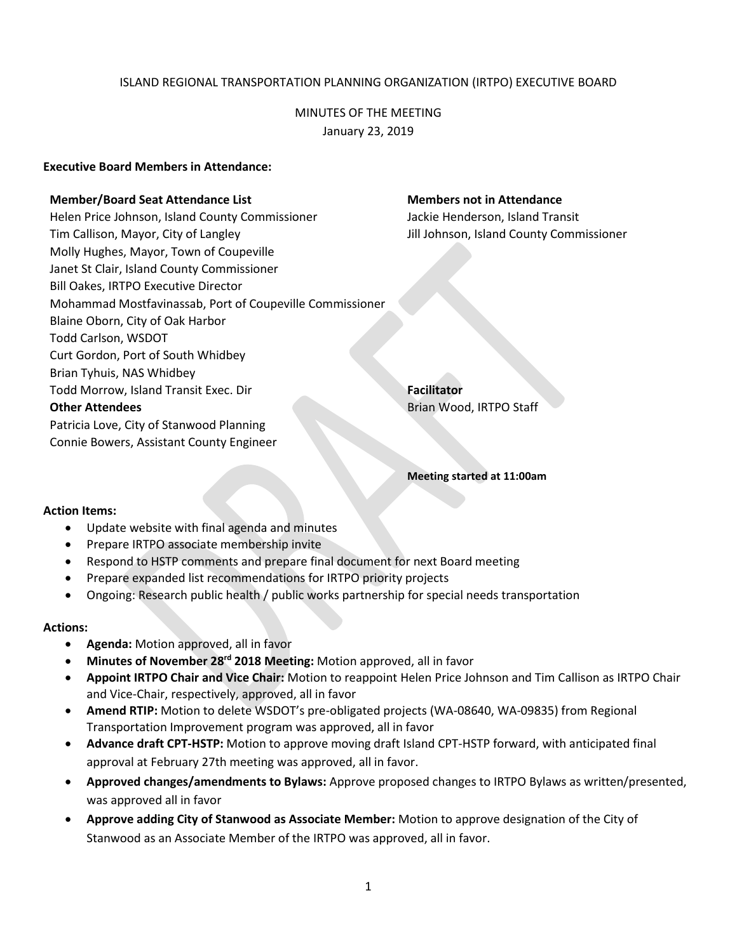## ISLAND REGIONAL TRANSPORTATION PLANNING ORGANIZATION (IRTPO) EXECUTIVE BOARD

MINUTES OF THE MEETING January 23, 2019

#### **Executive Board Members in Attendance:**

#### **Member/Board Seat Attendance List Members not in Attendance**

Helen Price Johnson, Island County Commissioner **Jackie Henderson, Island Transit** Tim Callison, Mayor, City of Langley Jill Johnson, Island County Commissioner Molly Hughes, Mayor, Town of Coupeville Janet St Clair, Island County Commissioner Bill Oakes, IRTPO Executive Director Mohammad Mostfavinassab, Port of Coupeville Commissioner Blaine Oborn, City of Oak Harbor Todd Carlson, WSDOT Curt Gordon, Port of South Whidbey Brian Tyhuis, NAS Whidbey Todd Morrow, Island Transit Exec. Dir **Facilitator Facilitator Other Attendees** Brian Wood, IRTPO Staff Patricia Love, City of Stanwood Planning Connie Bowers, Assistant County Engineer

**Meeting started at 11:00am**

#### **Action Items:**

- Update website with final agenda and minutes
- Prepare IRTPO associate membership invite
- Respond to HSTP comments and prepare final document for next Board meeting
- Prepare expanded list recommendations for IRTPO priority projects
- Ongoing: Research public health / public works partnership for special needs transportation

#### **Actions:**

- **Agenda:** Motion approved, all in favor
- **Minutes of November 28rd 2018 Meeting:** Motion approved, all in favor
- **Appoint IRTPO Chair and Vice Chair:** Motion to reappoint Helen Price Johnson and Tim Callison as IRTPO Chair and Vice-Chair, respectively, approved, all in favor
- **Amend RTIP:** Motion to delete WSDOT's pre-obligated projects (WA-08640, WA-09835) from Regional Transportation Improvement program was approved, all in favor
- **Advance draft CPT-HSTP:** Motion to approve moving draft Island CPT-HSTP forward, with anticipated final approval at February 27th meeting was approved, all in favor.
- **Approved changes/amendments to Bylaws:** Approve proposed changes to IRTPO Bylaws as written/presented, was approved all in favor
- **Approve adding City of Stanwood as Associate Member:** Motion to approve designation of the City of Stanwood as an Associate Member of the IRTPO was approved, all in favor.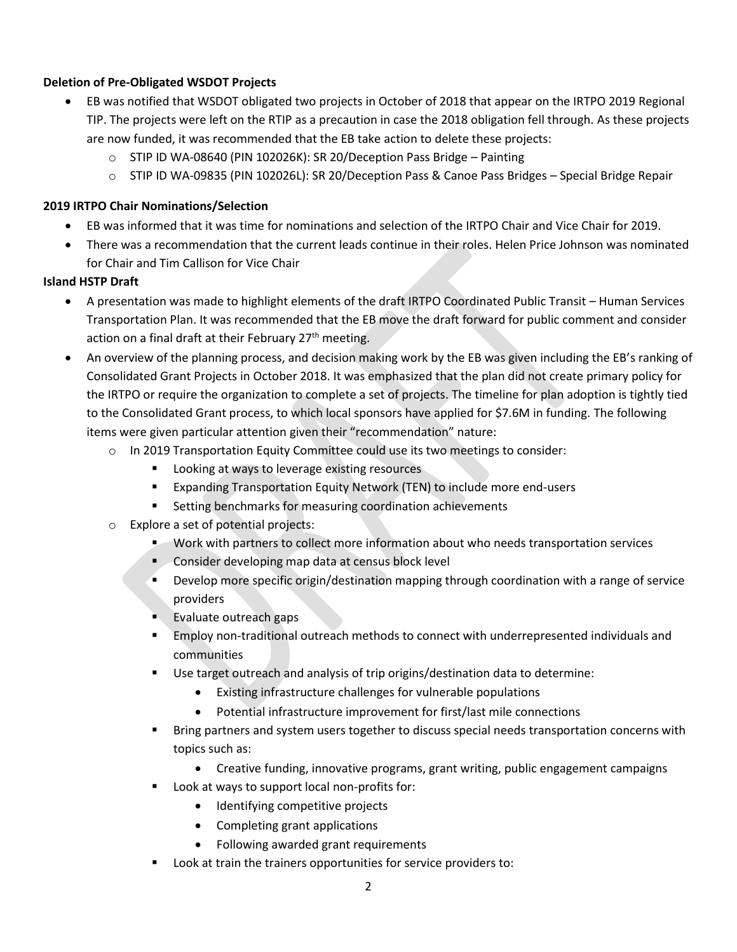# **Deletion of Pre-Obligated WSDOT Projects**

- EB was notified that WSDOT obligated two projects in October of 2018 that appear on the IRTPO 2019 Regional TIP. The projects were left on the RTIP as a precaution in case the 2018 obligation fell through. As these projects are now funded, it was recommended that the EB take action to delete these projects:
	- o STIP ID WA-08640 (PIN 102026K): SR 20/Deception Pass Bridge Painting
	- o STIP ID WA-09835 (PIN 102026L): SR 20/Deception Pass & Canoe Pass Bridges Special Bridge Repair

# **2019 IRTPO Chair Nominations/Selection**

- EB was informed that it was time for nominations and selection of the IRTPO Chair and Vice Chair for 2019.
- There was a recommendation that the current leads continue in their roles. Helen Price Johnson was nominated for Chair and Tim Callison for Vice Chair

# **Island HSTP Draft**

- A presentation was made to highlight elements of the draft IRTPO Coordinated Public Transit Human Services Transportation Plan. It was recommended that the EB move the draft forward for public comment and consider action on a final draft at their February 27<sup>th</sup> meeting.
- An overview of the planning process, and decision making work by the EB was given including the EB's ranking of Consolidated Grant Projects in October 2018. It was emphasized that the plan did not create primary policy for the IRTPO or require the organization to complete a set of projects. The timeline for plan adoption is tightly tied to the Consolidated Grant process, to which local sponsors have applied for \$7.6M in funding. The following items were given particular attention given their "recommendation" nature:
	- $\circ$  In 2019 Transportation Equity Committee could use its two meetings to consider:
		- **Looking at ways to leverage existing resources**
		- Expanding Transportation Equity Network (TEN) to include more end-users
		- **Setting benchmarks for measuring coordination achievements**
	- o Explore a set of potential projects:
		- Work with partners to collect more information about who needs transportation services
		- **Consider developing map data at census block level**
		- **Develop more specific origin/destination mapping through coordination with a range of service** providers
		- **Evaluate outreach gaps**
		- Employ non-traditional outreach methods to connect with underrepresented individuals and communities
		- Use target outreach and analysis of trip origins/destination data to determine:
			- Existing infrastructure challenges for vulnerable populations
			- Potential infrastructure improvement for first/last mile connections
		- **Bring partners and system users together to discuss special needs transportation concerns with** topics such as:
			- Creative funding, innovative programs, grant writing, public engagement campaigns
		- Look at ways to support local non-profits for:
			- Identifying competitive projects
			- Completing grant applications
			- Following awarded grant requirements
		- Look at train the trainers opportunities for service providers to: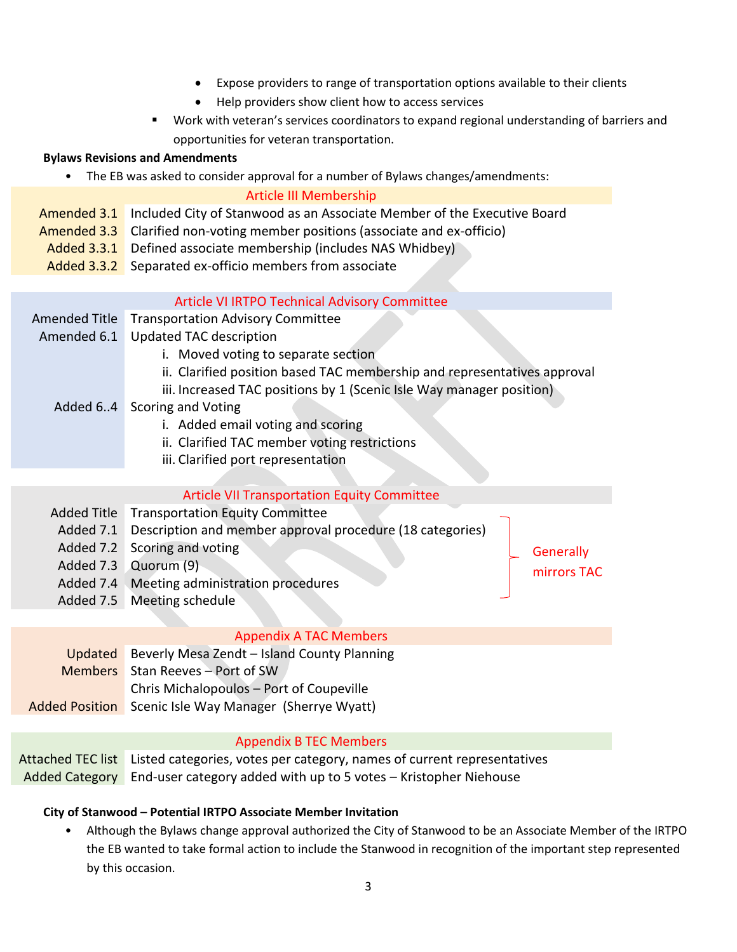- Expose providers to range of transportation options available to their clients
- Help providers show client how to access services
- Work with veteran's services coordinators to expand regional understanding of barriers and opportunities for veteran transportation.

# **Bylaws Revisions and Amendments**

• The EB was asked to consider approval for a number of Bylaws changes/amendments:

#### Article III Membership

- Amended 3.1 Included City of Stanwood as an Associate Member of the Executive Board
- Amended 3.3 Clarified non-voting member positions (associate and ex-officio)
- Added 3.3.1 Defined associate membership (includes NAS Whidbey)
- Added 3.3.2 Separated ex-officio members from associate

# Article VI IRTPO Technical Advisory Committee

- Amended Title Transportation Advisory Committee
- Amended 6.1 Updated TAC description
	- i. Moved voting to separate section
	- ii. Clarified position based TAC membership and representatives approval
	- iii. Increased TAC positions by 1 (Scenic Isle Way manager position)
	- Added 6..4 Scoring and Voting
		- i. Added email voting and scoring
		- ii. Clarified TAC member voting restrictions
		- iii. Clarified port representation

# Article VII Transportation Equity Committee

Added Title Transportation Equity Committee Added 7.1 Description and member approval procedure (18 categories) Added 7.2 Scoring and voting Added 7.3 Quorum (9) Added 7.4 Meeting administration procedures Added 7.5 Meeting schedule **Generally** mirrors TAC

## Appendix A TAC Members

| Updated Beverly Mesa Zendt - Island County Planning           |
|---------------------------------------------------------------|
| Members Stan Reeves - Port of SW                              |
| Chris Michalopoulos - Port of Coupeville                      |
| <b>Added Position</b> Scenic Isle Way Manager (Sherrye Wyatt) |

## Appendix B TEC Members

Attached TEC list Listed categories, votes per category, names of current representatives Added Category End-user category added with up to 5 votes – Kristopher Niehouse

# **City of Stanwood – Potential IRTPO Associate Member Invitation**

• Although the Bylaws change approval authorized the City of Stanwood to be an Associate Member of the IRTPO the EB wanted to take formal action to include the Stanwood in recognition of the important step represented by this occasion.